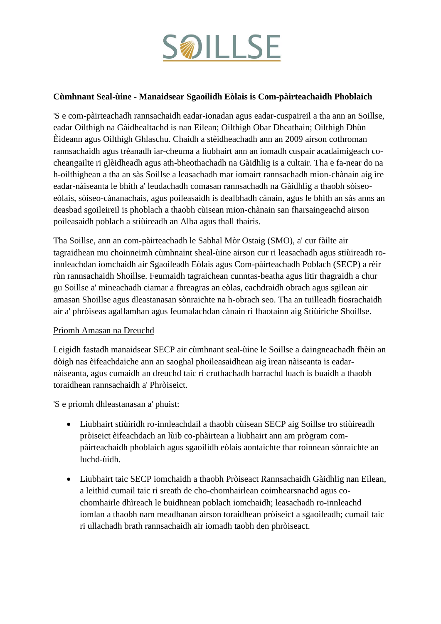

# **Cùmhnant Seal-ùine - Manaidsear Sgaoilidh Eòlais is Com-pàirteachaidh Phoblaich**

'S e com-pàirteachadh rannsachaidh eadar-ionadan agus eadar-cuspaireil a tha ann an Soillse, eadar Oilthigh na Gàidhealtachd is nan Eilean; Oilthigh Obar Dheathain; Oilthigh Dhùn Èideann agus Oilthigh Ghlaschu. Chaidh a stèidheachadh ann an 2009 airson cothroman rannsachaidh agus trèanadh iar-cheuma a liubhairt ann an iomadh cuspair acadaimigeach cocheangailte ri glèidheadh agus ath-bheothachadh na Gàidhlig is a cultair. Tha e fa-near do na h-oilthighean a tha an sàs Soillse a leasachadh mar iomairt rannsachadh mion-chànain aig ìre eadar-nàiseanta le bhith a' leudachadh comasan rannsachadh na Gàidhlig a thaobh sòiseoeòlais, sòiseo-cànanachais, agus poileasaidh is dealbhadh cànain, agus le bhith an sàs anns an deasbad sgoileireil is phoblach a thaobh cùisean mion-chànain san fharsaingeachd airson poileasaidh poblach a stiùireadh an Alba agus thall thairis.

Tha Soillse, ann an com-pàirteachadh le Sabhal Mòr Ostaig (SMO), a' cur fàilte air tagraidhean mu choinneimh cùmhnaint sheal-ùine airson cur ri leasachadh agus stiùireadh roinnleachdan iomchaidh air Sgaoileadh Eòlais agus Com-pàirteachadh Poblach (SECP) a rèir rùn rannsachaidh Shoillse. Feumaidh tagraichean cunntas-beatha agus litir thagraidh a chur gu Soillse a' mìneachadh ciamar a fhreagras an eòlas, eachdraidh obrach agus sgilean air amasan Shoillse agus dleastanasan sònraichte na h-obrach seo. Tha an tuilleadh fiosrachaidh air a' phròiseas agallamhan agus feumalachdan cànain ri fhaotainn aig Stiùiriche Shoillse.

#### Prìomh Amasan na Dreuchd

Leigidh fastadh manaidsear SECP air cùmhnant seal-ùine le Soillse a daingneachadh fhèin an dòigh nas èifeachdaiche ann an saoghal phoileasaidhean aig ìrean nàiseanta is eadarnàiseanta, agus cumaidh an dreuchd taic ri cruthachadh barrachd luach is buaidh a thaobh toraidhean rannsachaidh a' Phròiseict.

'S e prìomh dhleastanasan a' phuist:

- Liubhairt stiùiridh ro-innleachdail a thaobh cùisean SECP aig Soillse tro stiùireadh pròiseict èifeachdach an lùib co-phàirtean a liubhairt ann am prògram compàirteachaidh phoblaich agus sgaoilidh eòlais aontaichte thar roinnean sònraichte an luchd-ùidh.
- Liubhairt taic SECP iomchaidh a thaobh Pròiseact Rannsachaidh Gàidhlig nan Eilean, a leithid cumail taic ri sreath de cho-chomhairlean coimhearsnachd agus cochomhairle dhìreach le buidhnean poblach iomchaidh; leasachadh ro-innleachd iomlan a thaobh nam meadhanan airson toraidhean pròiseict a sgaoileadh; cumail taic ri ullachadh brath rannsachaidh air iomadh taobh den phròiseact.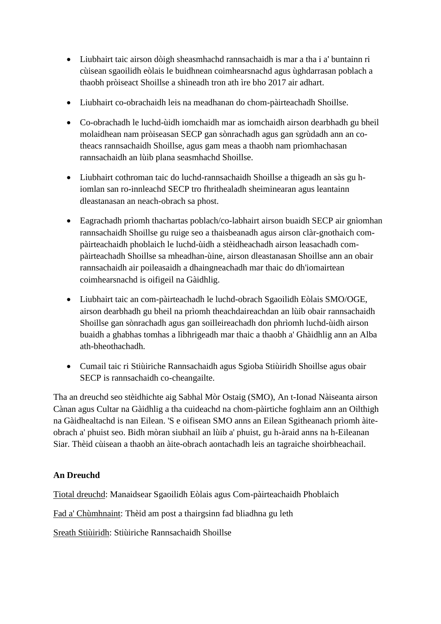- Liubhairt taic airson dòigh sheasmhachd rannsachaidh is mar a tha i a' buntainn ri cùisean sgaoilidh eòlais le buidhnean coimhearsnachd agus ùghdarrasan poblach a thaobh pròiseact Shoillse a shìneadh tron ath ìre bho 2017 air adhart.
- Liubhairt co-obrachaidh leis na meadhanan do chom-pàirteachadh Shoillse.
- Co-obrachadh le luchd-ùidh iomchaidh mar as iomchaidh airson dearbhadh gu bheil molaidhean nam pròiseasan SECP gan sònrachadh agus gan sgrùdadh ann an cotheacs rannsachaidh Shoillse, agus gam meas a thaobh nam prìomhachasan rannsachaidh an lùib plana seasmhachd Shoillse.
- Liubhairt cothroman taic do luchd-rannsachaidh Shoillse a thigeadh an sàs gu hiomlan san ro-innleachd SECP tro fhrithealadh sheiminearan agus leantainn dleastanasan an neach-obrach sa phost.
- Eagrachadh prìomh thachartas poblach/co-labhairt airson buaidh SECP air gnìomhan rannsachaidh Shoillse gu ruige seo a thaisbeanadh agus airson clàr-gnothaich compàirteachaidh phoblaich le luchd-ùidh a stèidheachadh airson leasachadh compàirteachadh Shoillse sa mheadhan-ùine, airson dleastanasan Shoillse ann an obair rannsachaidh air poileasaidh a dhaingneachadh mar thaic do dh'iomairtean coimhearsnachd is oifigeil na Gàidhlig.
- Liubhairt taic an com-pàirteachadh le luchd-obrach Sgaoilidh Eòlais SMO/OGE, airson dearbhadh gu bheil na prìomh theachdaireachdan an lùib obair rannsachaidh Shoillse gan sònrachadh agus gan soilleireachadh don phrìomh luchd-ùidh airson buaidh a ghabhas tomhas a lìbhrigeadh mar thaic a thaobh a' Ghàidhlig ann an Alba ath-bheothachadh.
- Cumail taic ri Stiùiriche Rannsachaidh agus Sgioba Stiùiridh Shoillse agus obair SECP is rannsachaidh co-cheangailte.

Tha an dreuchd seo stèidhichte aig Sabhal Mòr Ostaig (SMO), An t-Ionad Nàiseanta airson Cànan agus Cultar na Gàidhlig a tha cuideachd na chom-pàirtiche foghlaim ann an Oilthigh na Gàidhealtachd is nan Eilean. 'S e oifisean SMO anns an Eilean Sgitheanach prìomh àiteobrach a' phuist seo. Bidh mòran siubhail an lùib a' phuist, gu h-àraid anns na h-Eileanan Siar. Thèid cùisean a thaobh an àite-obrach aontachadh leis an tagraiche shoirbheachail.

# **An Dreuchd**

Tiotal dreuchd: Manaidsear Sgaoilidh Eòlais agus Com-pàirteachaidh Phoblaich

Fad a' Chùmhnaint: Thèid am post a thairgsinn fad bliadhna gu leth

Sreath Stiùiridh: Stiùiriche Rannsachaidh Shoillse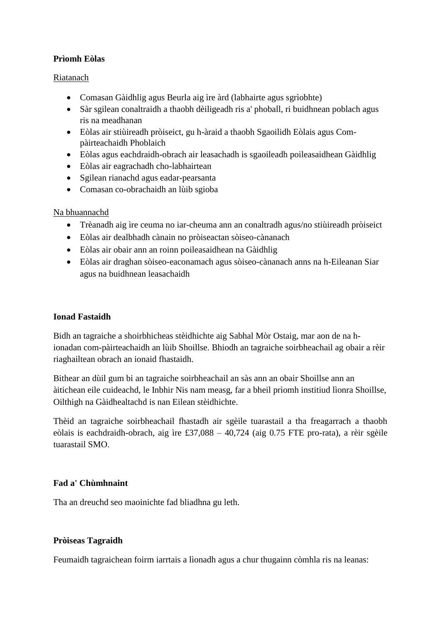# **Prìomh Eòlas**

### Riatanach

- Comasan Gàidhlig agus Beurla aig ìre àrd (labhairte agus sgrìobhte)
- Sàr sgilean conaltraidh a thaobh dèiligeadh ris a' phoball, ri buidhnean poblach agus ris na meadhanan
- Eòlas air stiùireadh pròiseict, gu h-àraid a thaobh Sgaoilidh Eòlais agus Compàirteachaidh Phoblaich
- Eòlas agus eachdraidh-obrach air leasachadh is sgaoileadh poileasaidhean Gàidhlig
- Eòlas air eagrachadh cho-labhairtean
- Sgilean rianachd agus eadar-pearsanta
- Comasan co-obrachaidh an lùib sgioba

# Na bhuannachd

- Trèanadh aig ìre ceuma no iar-cheuma ann an conaltradh agus/no stiùireadh pròiseict
- Eòlas air dealbhadh cànain no pròiseactan sòiseo-cànanach
- Eòlas air obair ann an roinn poileasaidhean na Gàidhlig
- Eòlas air draghan sòiseo-eaconamach agus sòiseo-cànanach anns na h-Eileanan Siar agus na buidhnean leasachaidh

# **Ionad Fastaidh**

Bidh an tagraiche a shoirbhicheas stèidhichte aig Sabhal Mòr Ostaig, mar aon de na hionadan com-pàirteachaidh an lùib Shoillse. Bhiodh an tagraiche soirbheachail ag obair a rèir riaghailtean obrach an ionaid fhastaidh.

Bithear an dùil gum bi an tagraiche soirbheachail an sàs ann an obair Shoillse ann an àitichean eile cuideachd, le Inbhir Nis nam measg, far a bheil prìomh institiud lìonra Shoillse, Oilthigh na Gàidhealtachd is nan Eilean stèidhichte.

Thèid an tagraiche soirbheachail fhastadh air sgèile tuarastail a tha freagarrach a thaobh eòlais is eachdraidh-obrach, aig ìre £37,088 – 40,724 (aig 0.75 FTE pro-rata), a rèir sgèile tuarastail SMO.

# **Fad a' Chùmhnaint**

Tha an dreuchd seo maoinichte fad bliadhna gu leth.

# **Pròiseas Tagraidh**

Feumaidh tagraichean foirm iarrtais a lìonadh agus a chur thugainn còmhla ris na leanas: